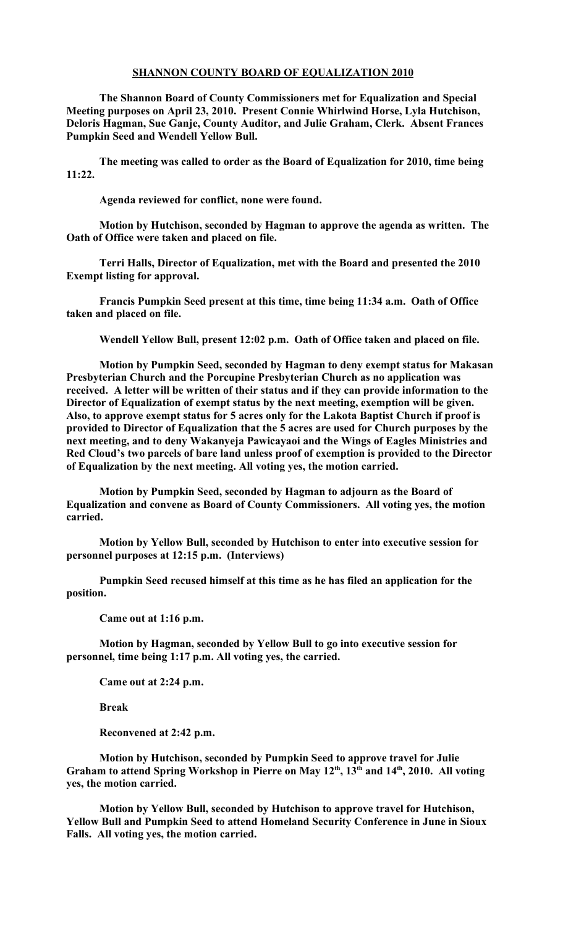## **SHANNON COUNTY BOARD OF EQUALIZATION 2010**

**The Shannon Board of County Commissioners met for Equalization and Special Meeting purposes on April 23, 2010. Present Connie Whirlwind Horse, Lyla Hutchison, Deloris Hagman, Sue Ganje, County Auditor, and Julie Graham, Clerk. Absent Frances Pumpkin Seed and Wendell Yellow Bull.**

**The meeting was called to order as the Board of Equalization for 2010, time being 11:22.** 

**Agenda reviewed for conflict, none were found.**

**Motion by Hutchison, seconded by Hagman to approve the agenda as written. The Oath of Office were taken and placed on file.**

**Terri Halls, Director of Equalization, met with the Board and presented the 2010 Exempt listing for approval.**

**Francis Pumpkin Seed present at this time, time being 11:34 a.m. Oath of Office taken and placed on file.**

**Wendell Yellow Bull, present 12:02 p.m. Oath of Office taken and placed on file.**

**Motion by Pumpkin Seed, seconded by Hagman to deny exempt status for Makasan Presbyterian Church and the Porcupine Presbyterian Church as no application was received. A letter will be written of their status and if they can provide information to the Director of Equalization of exempt status by the next meeting, exemption will be given. Also, to approve exempt status for 5 acres only for the Lakota Baptist Church if proof is provided to Director of Equalization that the 5 acres are used for Church purposes by the next meeting, and to deny Wakanyeja Pawicayaoi and the Wings of Eagles Ministries and Red Cloud's two parcels of bare land unless proof of exemption is provided to the Director of Equalization by the next meeting. All voting yes, the motion carried.**

**Motion by Pumpkin Seed, seconded by Hagman to adjourn as the Board of Equalization and convene as Board of County Commissioners. All voting yes, the motion carried.**

**Motion by Yellow Bull, seconded by Hutchison to enter into executive session for personnel purposes at 12:15 p.m. (Interviews)**

**Pumpkin Seed recused himself at this time as he has filed an application for the position.**

**Came out at 1:16 p.m.**

**Motion by Hagman, seconded by Yellow Bull to go into executive session for personnel, time being 1:17 p.m. All voting yes, the carried.** 

**Came out at 2:24 p.m.**

**Break**

**Reconvened at 2:42 p.m.**

**Motion by Hutchison, seconded by Pumpkin Seed to approve travel for Julie Graham to attend Spring Workshop in Pierre on May 12th, 13th and 14th, 2010. All voting yes, the motion carried.** 

**Motion by Yellow Bull, seconded by Hutchison to approve travel for Hutchison, Yellow Bull and Pumpkin Seed to attend Homeland Security Conference in June in Sioux Falls. All voting yes, the motion carried.**